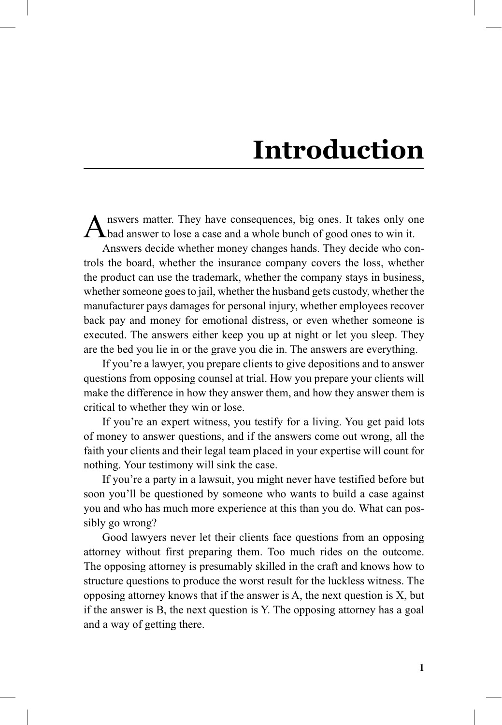## **Introduction**

nswers matter. They have consequences, big ones. It takes only one **L** bad answer to lose a case and a whole bunch of good ones to win it.

Answers decide whether money changes hands. They decide who controls the board, whether the insurance company covers the loss, whether the product can use the trademark, whether the company stays in business, whether someone goes to jail, whether the husband gets custody, whether the manufacturer pays damages for personal injury, whether employees recover back pay and money for emotional distress, or even whether someone is executed. The answers either keep you up at night or let you sleep. They are the bed you lie in or the grave you die in. The answers are everything.

If you're a lawyer, you prepare clients to give depositions and to answer questions from opposing counsel at trial. How you prepare your clients will make the difference in how they answer them, and how they answer them is critical to whether they win or lose.

If you're an expert witness, you testify for a living. You get paid lots of money to answer questions, and if the answers come out wrong, all the faith your clients and their legal team placed in your expertise will count for nothing. Your testimony will sink the case.

If you're a party in a lawsuit, you might never have testified before but soon you'll be questioned by someone who wants to build a case against you and who has much more experience at this than you do. What can possibly go wrong?

Good lawyers never let their clients face questions from an opposing attorney without first preparing them. Too much rides on the outcome. The opposing attorney is presumably skilled in the craft and knows how to structure questions to produce the worst result for the luckless witness. The opposing attorney knows that if the answer is A, the next question is X, but if the answer is B, the next question is Y. The opposing attorney has a goal and a way of getting there.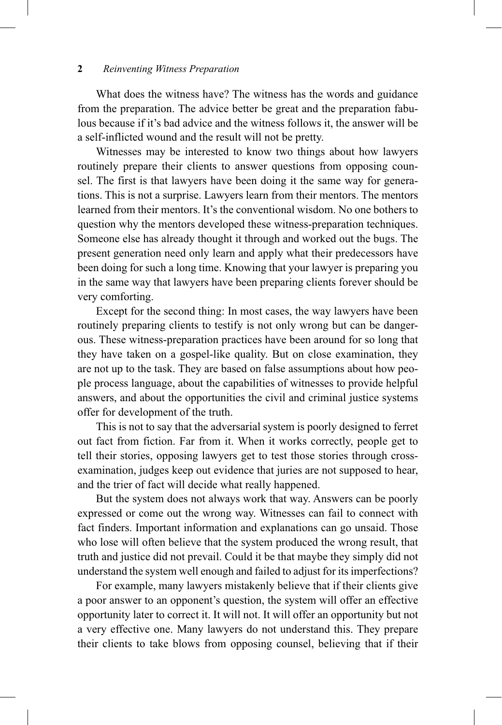## **2** *Reinventing Witness Preparation*

What does the witness have? The witness has the words and guidance from the preparation. The advice better be great and the preparation fabulous because if it's bad advice and the witness follows it, the answer will be a self-inflicted wound and the result will not be pretty.

Witnesses may be interested to know two things about how lawyers routinely prepare their clients to answer questions from opposing counsel. The first is that lawyers have been doing it the same way for generations. This is not a surprise. Lawyers learn from their mentors. The mentors learned from their mentors. It's the conventional wisdom. No one bothers to question why the mentors developed these witness-preparation techniques. Someone else has already thought it through and worked out the bugs. The present generation need only learn and apply what their predecessors have been doing for such a long time. Knowing that your lawyer is preparing you in the same way that lawyers have been preparing clients forever should be very comforting.

Except for the second thing: In most cases, the way lawyers have been routinely preparing clients to testify is not only wrong but can be dangerous. These witness-preparation practices have been around for so long that they have taken on a gospel-like quality. But on close examination, they are not up to the task. They are based on false assumptions about how people process language, about the capabilities of witnesses to provide helpful answers, and about the opportunities the civil and criminal justice systems offer for development of the truth.

This is not to say that the adversarial system is poorly designed to ferret out fact from fiction. Far from it. When it works correctly, people get to tell their stories, opposing lawyers get to test those stories through crossexamination, judges keep out evidence that juries are not supposed to hear, and the trier of fact will decide what really happened.

But the system does not always work that way. Answers can be poorly expressed or come out the wrong way. Witnesses can fail to connect with fact finders. Important information and explanations can go unsaid. Those who lose will often believe that the system produced the wrong result, that truth and justice did not prevail. Could it be that maybe they simply did not understand the system well enough and failed to adjust for its imperfections?

For example, many lawyers mistakenly believe that if their clients give a poor answer to an opponent's question, the system will offer an effective opportunity later to correct it. It will not. It will offer an opportunity but not a very effective one. Many lawyers do not understand this. They prepare their clients to take blows from opposing counsel, believing that if their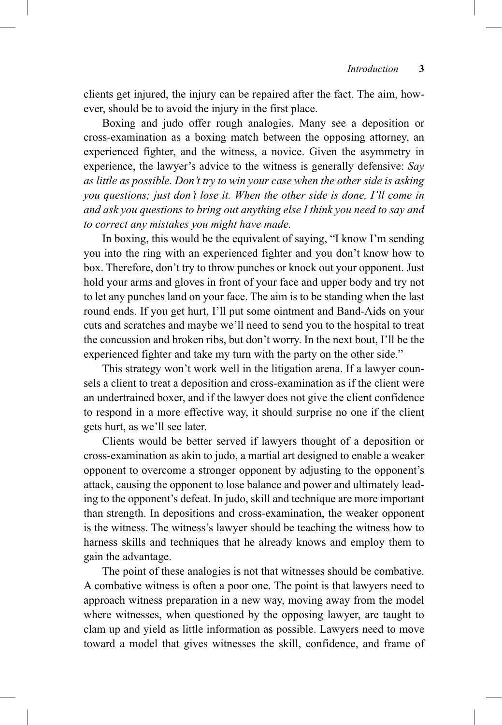clients get injured, the injury can be repaired after the fact. The aim, however, should be to avoid the injury in the first place.

Boxing and judo offer rough analogies. Many see a deposition or cross-examination as a boxing match between the opposing attorney, an experienced fighter, and the witness, a novice. Given the asymmetry in experience, the lawyer's advice to the witness is generally defensive: *Say as little as possible Don't try to win your case when the other side is asking you questions; just don't lose it When the other side is done, I'll come in and ask you questions to bring out anything else I think you need to say and to correct any mistakes you might have made*

In boxing, this would be the equivalent of saying, "I know I'm sending you into the ring with an experienced fighter and you don't know how to box. Therefore, don't try to throw punches or knock out your opponent. Just hold your arms and gloves in front of your face and upper body and try not to let any punches land on your face. The aim is to be standing when the last round ends. If you get hurt, I'll put some ointment and Band-Aids on your cuts and scratches and maybe we'll need to send you to the hospital to treat the concussion and broken ribs, but don't worry. In the next bout, I'll be the experienced fighter and take my turn with the party on the other side."

This strategy won't work well in the litigation arena. If a lawyer counsels a client to treat a deposition and cross-examination as if the client were an undertrained boxer, and if the lawyer does not give the client confidence to respond in a more effective way, it should surprise no one if the client gets hurt, as we'll see later.

Clients would be better served if lawyers thought of a deposition or cross-examination as akin to judo, a martial art designed to enable a weaker opponent to overcome a stronger opponent by adjusting to the opponent's attack, causing the opponent to lose balance and power and ultimately leading to the opponent's defeat. In judo, skill and technique are more important than strength. In depositions and cross-examination, the weaker opponent is the witness. The witness's lawyer should be teaching the witness how to harness skills and techniques that he already knows and employ them to gain the advantage.

The point of these analogies is not that witnesses should be combative. A combative witness is often a poor one. The point is that lawyers need to approach witness preparation in a new way, moving away from the model where witnesses, when questioned by the opposing lawyer, are taught to clam up and yield as little information as possible. Lawyers need to move toward a model that gives witnesses the skill, confidence, and frame of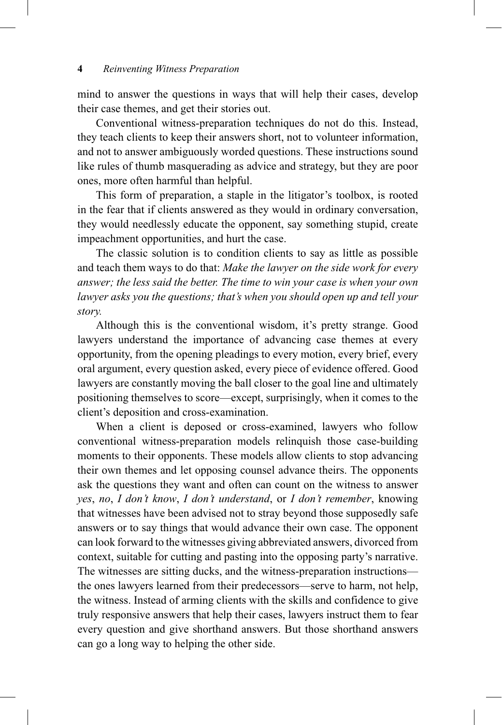## **4** *Reinventing Witness Preparation*

mind to answer the questions in ways that will help their cases, develop their case themes, and get their stories out.

Conventional witness-preparation techniques do not do this. Instead, they teach clients to keep their answers short, not to volunteer information, and not to answer ambiguously worded questions. These instructions sound like rules of thumb masquerading as advice and strategy, but they are poor ones, more often harmful than helpful.

This form of preparation, a staple in the litigator's toolbox, is rooted in the fear that if clients answered as they would in ordinary conversation, they would needlessly educate the opponent, say something stupid, create impeachment opportunities, and hurt the case.

The classic solution is to condition clients to say as little as possible and teach them ways to do that: *Make the lawyer on the side work for every answer; the less said the better The time to win your case is when your own lawyer asks you the questions; that's when you should open up and tell your story*

Although this is the conventional wisdom, it's pretty strange. Good lawyers understand the importance of advancing case themes at every opportunity, from the opening pleadings to every motion, every brief, every oral argument, every question asked, every piece of evidence offered. Good lawyers are constantly moving the ball closer to the goal line and ultimately positioning themselves to score—except, surprisingly, when it comes to the client's deposition and cross-examination.

When a client is deposed or cross-examined, lawyers who follow conventional witness-preparation models relinquish those case-building moments to their opponents. These models allow clients to stop advancing their own themes and let opposing counsel advance theirs. The opponents ask the questions they want and often can count on the witness to answer *yes*, *no*, *I don't know*, *I don't understand*, or *I don't remember*, knowing that witnesses have been advised not to stray beyond those supposedly safe answers or to say things that would advance their own case. The opponent can look forward to the witnesses giving abbreviated answers, divorced from context, suitable for cutting and pasting into the opposing party's narrative. The witnesses are sitting ducks, and the witness-preparation instructions the ones lawyers learned from their predecessors—serve to harm, not help, the witness. Instead of arming clients with the skills and confidence to give truly responsive answers that help their cases, lawyers instruct them to fear every question and give shorthand answers. But those shorthand answers can go a long way to helping the other side.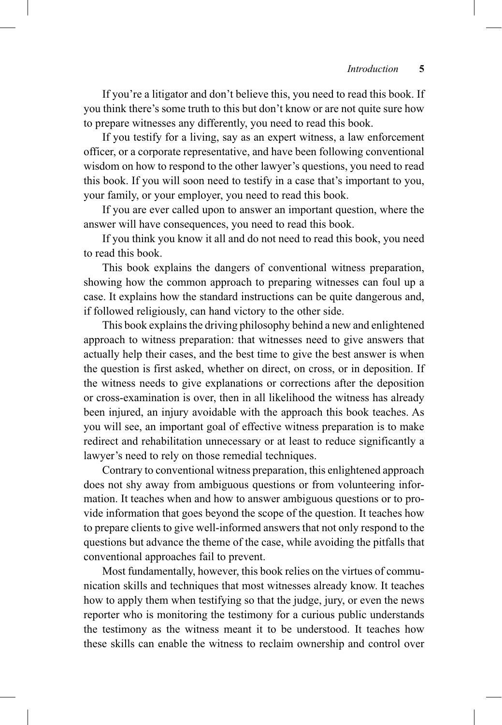If you're a litigator and don't believe this, you need to read this book. If you think there's some truth to this but don't know or are not quite sure how to prepare witnesses any differently, you need to read this book.

If you testify for a living, say as an expert witness, a law enforcement officer, or a corporate representative, and have been following conventional wisdom on how to respond to the other lawyer's questions, you need to read this book. If you will soon need to testify in a case that's important to you, your family, or your employer, you need to read this book.

If you are ever called upon to answer an important question, where the answer will have consequences, you need to read this book.

If you think you know it all and do not need to read this book, you need to read this book.

This book explains the dangers of conventional witness preparation, showing how the common approach to preparing witnesses can foul up a case. It explains how the standard instructions can be quite dangerous and, if followed religiously, can hand victory to the other side.

This book explains the driving philosophy behind a new and enlightened approach to witness preparation: that witnesses need to give answers that actually help their cases, and the best time to give the best answer is when the question is first asked, whether on direct, on cross, or in deposition. If the witness needs to give explanations or corrections after the deposition or cross-examination is over, then in all likelihood the witness has already been injured, an injury avoidable with the approach this book teaches. As you will see, an important goal of effective witness preparation is to make redirect and rehabilitation unnecessary or at least to reduce significantly a lawyer's need to rely on those remedial techniques.

Contrary to conventional witness preparation, this enlightened approach does not shy away from ambiguous questions or from volunteering information. It teaches when and how to answer ambiguous questions or to provide information that goes beyond the scope of the question. It teaches how to prepare clients to give well-informed answers that not only respond to the questions but advance the theme of the case, while avoiding the pitfalls that conventional approaches fail to prevent.

Most fundamentally, however, this book relies on the virtues of communication skills and techniques that most witnesses already know. It teaches how to apply them when testifying so that the judge, jury, or even the news reporter who is monitoring the testimony for a curious public understands the testimony as the witness meant it to be understood. It teaches how these skills can enable the witness to reclaim ownership and control over